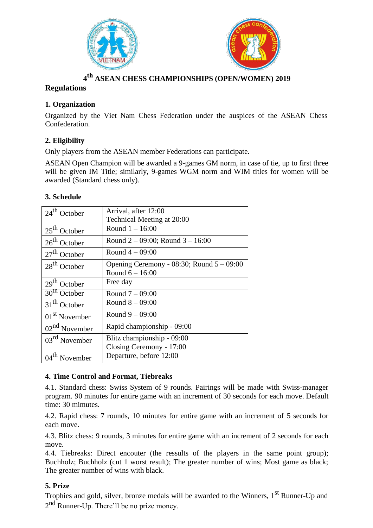



# **4 th ASEAN CHESS CHAMPIONSHIPS (OPEN/WOMEN) 2019**

# **Regulations**

# **1. Organization**

Organized by the Viet Nam Chess Federation under the auspices of the ASEAN Chess Confederation.

# **2. Eligibility**

Only players from the ASEAN member Federations can participate.

ASEAN Open Champion will be awarded a 9-games GM norm, in case of tie, up to first three will be given IM Title; similarly, 9-games WGM norm and WIM titles for women will be awarded (Standard chess only).

### **3. Schedule**

| $24th$ October            | Arrival, after 12:00                           |
|---------------------------|------------------------------------------------|
|                           | Technical Meeting at 20:00                     |
| $25th$ October            | Round $1 - 16:00$                              |
| $26th$ October            | Round $2 - 09:00$ ; Round $3 - 16:00$          |
| $27th$ October            | Round $4 - 09:00$                              |
| $28th$ October            | Opening Ceremony - $08:30$ ; Round $5 - 09:00$ |
|                           | Round $6 - 16:00$                              |
| $29th$ October            | Free day                                       |
| $30th$ October            | Round $7 - 09:00$                              |
| $31th$ October            | Round $8 - 09:00$                              |
| $01st$ November           | Round $9 - 09:00$                              |
| $02nd$ November           | Rapid championship - 09:00                     |
| $03^{\text{rd}}$ November | Blitz championship - 09:00                     |
|                           | Closing Ceremony - 17:00                       |
| $04th$ November           | Departure, before 12:00                        |

#### **4. Time Control and Format, Tiebreaks**

4.1. Standard chess: Swiss System of 9 rounds. Pairings will be made with Swiss-manager program. 90 minutes for entire game with an increment of 30 seconds for each move. Default time: 30 mimutes.

4.2. Rapid chess: 7 rounds, 10 minutes for entire game with an increment of 5 seconds for each move.

4.3. Blitz chess: 9 rounds, 3 minutes for entire game with an increment of 2 seconds for each move.

4.4. Tiebreaks: Direct encouter (the ressults of the players in the same point group); Buchholz; Buchholz (cut 1 worst result); The greater number of wins; Most game as black; The greater number of wins with black.

# **5. Prize**

Trophies and gold, silver, bronze medals will be awarded to the Winners,  $1<sup>st</sup>$  Runner-Up and 2<sup>nd</sup> Runner-Up. There'll be no prize money.